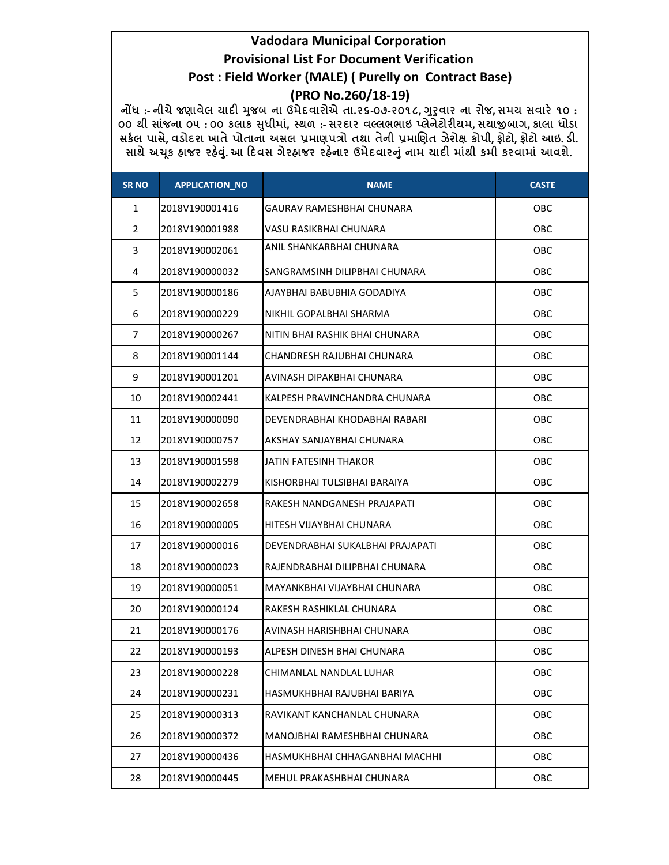| <b>SR NO</b>   | <b>APPLICATION_NO</b> | <b>NAME</b>                      | <b>CASTE</b> |
|----------------|-----------------------|----------------------------------|--------------|
| 1              | 2018V190001416        | GAURAV RAMESHBHAI CHUNARA        | OBC          |
| $\overline{2}$ | 2018V190001988        | VASU RASIKBHAI CHUNARA           | OBC          |
| 3              | 2018V190002061        | ANIL SHANKARBHAI CHUNARA         | OBC          |
| 4              | 2018V190000032        | SANGRAMSINH DILIPBHAI CHUNARA    | OBC          |
| 5              | 2018V190000186        | AJAYBHAI BABUBHIA GODADIYA       | OBC          |
| 6              | 2018V190000229        | NIKHIL GOPALBHAI SHARMA          | OBC          |
| $\overline{7}$ | 2018V190000267        | NITIN BHAI RASHIK BHAI CHUNARA   | OBC          |
| 8              | 2018V190001144        | CHANDRESH RAJUBHAI CHUNARA       | OBC          |
| 9              | 2018V190001201        | AVINASH DIPAKBHAI CHUNARA        | OBC          |
| 10             | 2018V190002441        | KALPESH PRAVINCHANDRA CHUNARA    | OBC          |
| 11             | 2018V190000090        | DEVENDRABHAI KHODABHAI RABARI    | OBC          |
| 12             | 2018V190000757        | AKSHAY SANJAYBHAI CHUNARA        | OBC          |
| 13             | 2018V190001598        | <b>JATIN FATESINH THAKOR</b>     | OBC          |
| 14             | 2018V190002279        | KISHORBHAI TULSIBHAI BARAIYA     | OBC          |
| 15             | 2018V190002658        | RAKESH NANDGANESH PRAJAPATI      | OBC          |
| 16             | 2018V190000005        | HITESH VIJAYBHAI CHUNARA         | OBC          |
| 17             | 2018V190000016        | DEVENDRABHAI SUKALBHAI PRAJAPATI | OBC          |
| 18             | 2018V190000023        | RAJENDRABHAI DILIPBHAI CHUNARA   | OBC          |
| 19             | 2018V190000051        | MAYANKBHAI VIJAYBHAI CHUNARA     | OBC          |
| 20             | 2018V190000124        | RAKESH RASHIKLAL CHUNARA         | OBC          |
| 21             | 2018V190000176        | AVINASH HARISHBHAI CHUNARA       | OBC          |
| 22             | 2018V190000193        | ALPESH DINESH BHAI CHUNARA       | OBC          |
| 23             | 2018V190000228        | CHIMANLAL NANDLAL LUHAR          | OBC          |
| 24             | 2018V190000231        | HASMUKHBHAI RAJUBHAI BARIYA      | OBC          |
| 25             | 2018V190000313        | RAVIKANT KANCHANLAL CHUNARA      | OBC          |
| 26             | 2018V190000372        | MANOJBHAI RAMESHBHAI CHUNARA     | OBC          |
| 27             | 2018V190000436        | HASMUKHBHAI CHHAGANBHAI MACHHI   | OBC          |
| 28             | 2018V190000445        | MEHUL PRAKASHBHAI CHUNARA        | OBC          |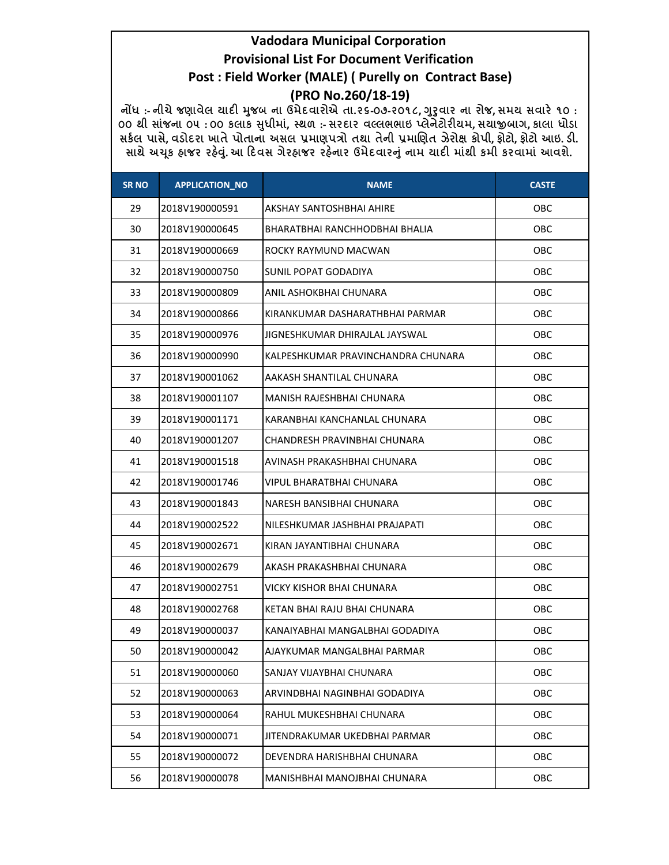| <b>SR NO</b> | <b>APPLICATION_NO</b> | <b>NAME</b>                        | <b>CASTE</b> |
|--------------|-----------------------|------------------------------------|--------------|
| 29           | 2018V190000591        | AKSHAY SANTOSHBHAI AHIRE           | OBC          |
| 30           | 2018V190000645        | BHARATBHAI RANCHHODBHAI BHALIA     | OBC          |
| 31           | 2018V190000669        | ROCKY RAYMUND MACWAN               | OBC          |
| 32           | 2018V190000750        | SUNIL POPAT GODADIYA               | OBC          |
| 33           | 2018V190000809        | ANIL ASHOKBHAI CHUNARA             | OBC          |
| 34           | 2018V190000866        | KIRANKUMAR DASHARATHBHAI PARMAR    | OBC          |
| 35           | 2018V190000976        | JIGNESHKUMAR DHIRAJLAL JAYSWAL     | OBC          |
| 36           | 2018V190000990        | KALPESHKUMAR PRAVINCHANDRA CHUNARA | OBC          |
| 37           | 2018V190001062        | AAKASH SHANTILAL CHUNARA           | OBC          |
| 38           | 2018V190001107        | MANISH RAJESHBHAI CHUNARA          | OBC          |
| 39           | 2018V190001171        | KARANBHAI KANCHANLAL CHUNARA       | OBC          |
| 40           | 2018V190001207        | CHANDRESH PRAVINBHAI CHUNARA       | OBC          |
| 41           | 2018V190001518        | AVINASH PRAKASHBHAI CHUNARA        | OBC          |
| 42           | 2018V190001746        | VIPUL BHARATBHAI CHUNARA           | OBC          |
| 43           | 2018V190001843        | NARESH BANSIBHAI CHUNARA           | OBC          |
| 44           | 2018V190002522        | NILESHKUMAR JASHBHAI PRAJAPATI     | OBC          |
| 45           | 2018V190002671        | KIRAN JAYANTIBHAI CHUNARA          | OBC          |
| 46           | 2018V190002679        | AKASH PRAKASHBHAI CHUNARA          | OBC          |
| 47           | 2018V190002751        | VICKY KISHOR BHAI CHUNARA          | OBC          |
| 48           | 2018V190002768        | KETAN BHAI RAJU BHAI CHUNARA       | OBC          |
| 49           | 2018V190000037        | KANAIYABHAI MANGALBHAI GODADIYA    | OBC          |
| 50           | 2018V190000042        | AJAYKUMAR MANGALBHAI PARMAR        | OBC          |
| 51           | 2018V190000060        | SANJAY VIJAYBHAI CHUNARA           | OBC          |
| 52           | 2018V190000063        | ARVINDBHAI NAGINBHAI GODADIYA      | OBC          |
| 53           | 2018V190000064        | RAHUL MUKESHBHAI CHUNARA           | OBC          |
| 54           | 2018V190000071        | JITENDRAKUMAR UKEDBHAI PARMAR      | OBC          |
| 55           | 2018V190000072        | DEVENDRA HARISHBHAI CHUNARA        | OBC          |
| 56           | 2018V190000078        | MANISHBHAI MANOJBHAI CHUNARA       | OBC          |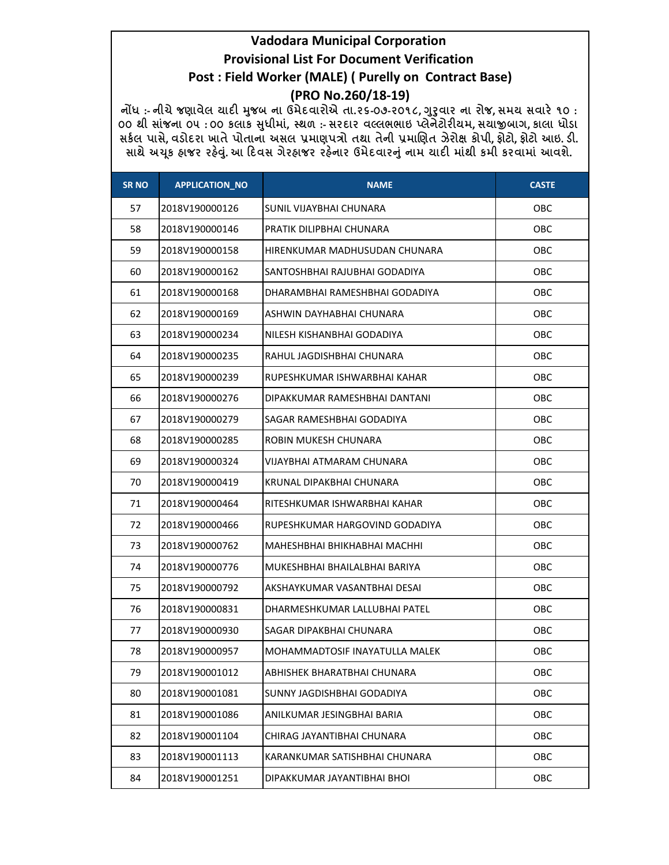| <b>SR NO</b> | <b>APPLICATION_NO</b> | <b>NAME</b>                    | <b>CASTE</b> |
|--------------|-----------------------|--------------------------------|--------------|
| 57           | 2018V190000126        | SUNIL VIJAYBHAI CHUNARA        | OBC          |
| 58           | 2018V190000146        | PRATIK DILIPBHAI CHUNARA       | OBC          |
| 59           | 2018V190000158        | HIRENKUMAR MADHUSUDAN CHUNARA  | OBC          |
| 60           | 2018V190000162        | SANTOSHBHAI RAJUBHAI GODADIYA  | OBC          |
| 61           | 2018V190000168        | DHARAMBHAI RAMESHBHAI GODADIYA | OBC          |
| 62           | 2018V190000169        | ASHWIN DAYHABHAI CHUNARA       | OBC          |
| 63           | 2018V190000234        | NILESH KISHANBHAI GODADIYA     | OBC          |
| 64           | 2018V190000235        | RAHUL JAGDISHBHAI CHUNARA      | OBC          |
| 65           | 2018V190000239        | RUPESHKUMAR ISHWARBHAI KAHAR   | OBC          |
| 66           | 2018V190000276        | DIPAKKUMAR RAMESHBHAI DANTANI  | OBC          |
| 67           | 2018V190000279        | SAGAR RAMESHBHAI GODADIYA      | OBC          |
| 68           | 2018V190000285        | ROBIN MUKESH CHUNARA           | OBC          |
| 69           | 2018V190000324        | VIJAYBHAI ATMARAM CHUNARA      | OBC          |
| 70           | 2018V190000419        | KRUNAL DIPAKBHAI CHUNARA       | OBC          |
| 71           | 2018V190000464        | RITESHKUMAR ISHWARBHAI KAHAR   | OBC          |
| 72           | 2018V190000466        | RUPESHKUMAR HARGOVIND GODADIYA | OBC          |
| 73           | 2018V190000762        | MAHESHBHAI BHIKHABHAI MACHHI   | OBC          |
| 74           | 2018V190000776        | MUKESHBHAI BHAILALBHAI BARIYA  | OBC          |
| 75           | 2018V190000792        | AKSHAYKUMAR VASANTBHAI DESAI   | OBC          |
| 76           | 2018V190000831        | DHARMESHKUMAR LALLUBHAI PATEL  | OBC          |
| 77           | 2018V190000930        | SAGAR DIPAKBHAI CHUNARA        | OBC          |
| 78           | 2018V190000957        | MOHAMMADTOSIF INAYATULLA MALEK | OBC          |
| 79           | 2018V190001012        | ABHISHEK BHARATBHAI CHUNARA    | OBC          |
| 80           | 2018V190001081        | SUNNY JAGDISHBHAI GODADIYA     | OBC          |
| 81           | 2018V190001086        | ANILKUMAR JESINGBHAI BARIA     | OBC          |
| 82           | 2018V190001104        | CHIRAG JAYANTIBHAI CHUNARA     | OBC          |
| 83           | 2018V190001113        | KARANKUMAR SATISHBHAI CHUNARA  | OBC          |
| 84           | 2018V190001251        | DIPAKKUMAR JAYANTIBHAI BHOI    | OBC          |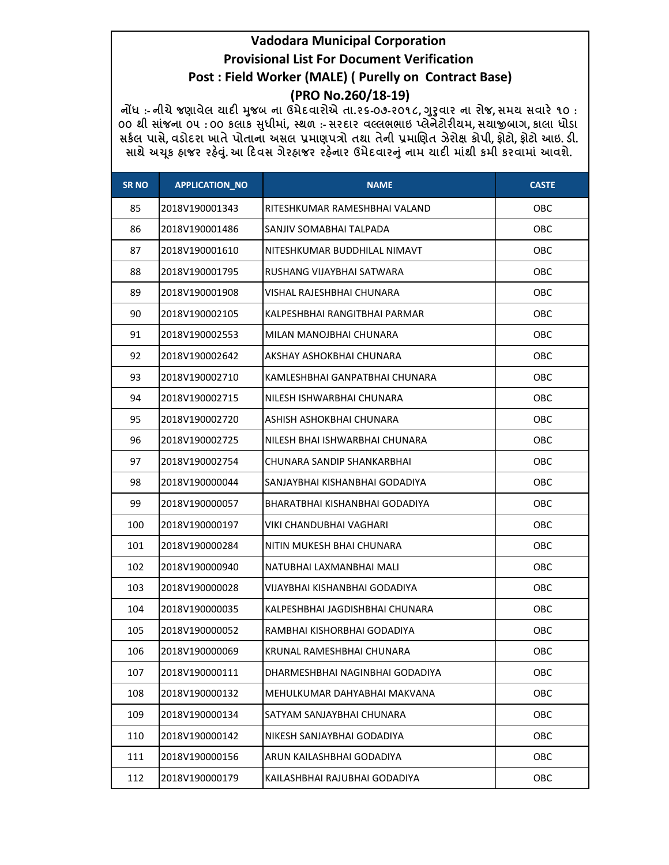| <b>SR NO</b> | <b>APPLICATION_NO</b> | <b>NAME</b>                     | <b>CASTE</b> |
|--------------|-----------------------|---------------------------------|--------------|
| 85           | 2018V190001343        | RITESHKUMAR RAMESHBHAI VALAND   | OBC          |
| 86           | 2018V190001486        | SANJIV SOMABHAI TALPADA         | OBC          |
| 87           | 2018V190001610        | NITESHKUMAR BUDDHILAL NIMAVT    | OBC.         |
| 88           | 2018V190001795        | RUSHANG VIJAYBHAI SATWARA       | OBC.         |
| 89           | 2018V190001908        | VISHAL RAJESHBHAI CHUNARA       | OBC.         |
| 90           | 2018V190002105        | KALPESHBHAI RANGITBHAI PARMAR   | OBC.         |
| 91           | 2018V190002553        | MILAN MANOJBHAI CHUNARA         | OBC.         |
| 92           | 2018V190002642        | AKSHAY ASHOKBHAI CHUNARA        | OBC          |
| 93           | 2018V190002710        | KAMLESHBHAI GANPATBHAI CHUNARA  | OBC          |
| 94           | 2018V190002715        | NILESH ISHWARBHAI CHUNARA       | OBC.         |
| 95           | 2018V190002720        | ASHISH ASHOKBHAI CHUNARA        | OBC          |
| 96           | 2018V190002725        | NILESH BHAI ISHWARBHAI CHUNARA  | OBC.         |
| 97           | 2018V190002754        | CHUNARA SANDIP SHANKARBHAI      | OBC.         |
| 98           | 2018V190000044        | SANJAYBHAI KISHANBHAI GODADIYA  | OBC.         |
| 99           | 2018V190000057        | BHARATBHAI KISHANBHAI GODADIYA  | OBC          |
| 100          | 2018V190000197        | VIKI CHANDUBHAI VAGHARI         | OBC          |
| 101          | 2018V190000284        | NITIN MUKESH BHAI CHUNARA       | OBC          |
| 102          | 2018V190000940        | NATUBHAI LAXMANBHAI MALI        | OBC          |
| 103          | 2018V190000028        | VIJAYBHAI KISHANBHAI GODADIYA   | OBC.         |
| 104          | 2018V190000035        | KALPESHBHAI JAGDISHBHAI CHUNARA | OBC.         |
| 105          | 2018V190000052        | RAMBHAI KISHORBHAI GODADIYA     | <b>OBC</b>   |
| 106          | 2018V190000069        | KRUNAL RAMESHBHAI CHUNARA       | OBC          |
| 107          | 2018V190000111        | DHARMESHBHAI NAGINBHAI GODADIYA | OBC          |
| 108          | 2018V190000132        | MEHULKUMAR DAHYABHAI MAKVANA    | OBC          |
| 109          | 2018V190000134        | SATYAM SANJAYBHAI CHUNARA       | OBC          |
| 110          | 2018V190000142        | NIKESH SANJAYBHAI GODADIYA      | OBC          |
| 111          | 2018V190000156        | ARUN KAILASHBHAI GODADIYA       | OBC          |
| 112          | 2018V190000179        | KAILASHBHAI RAJUBHAI GODADIYA   | OBC          |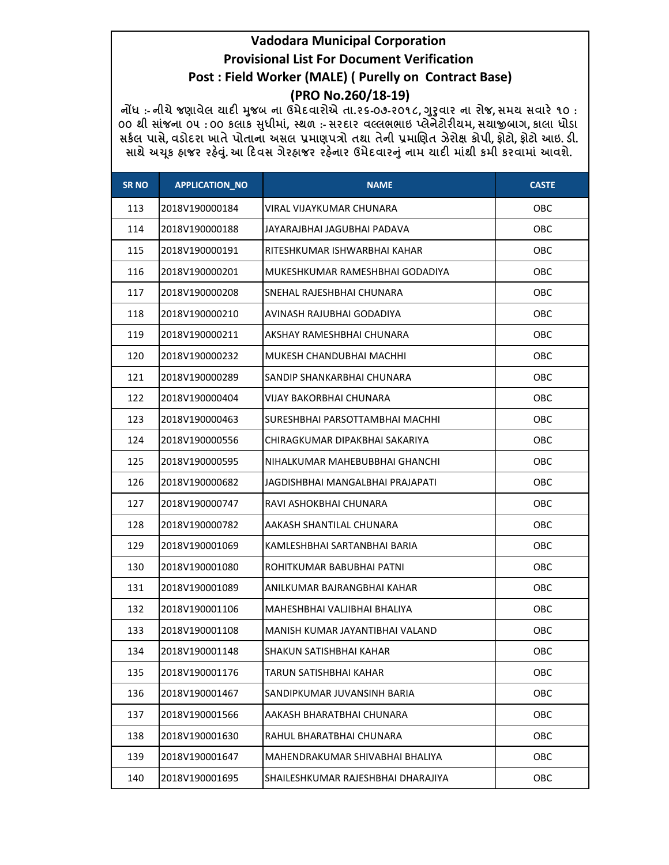| <b>SR NO</b> | <b>APPLICATION_NO</b> | <b>NAME</b>                        | <b>CASTE</b> |
|--------------|-----------------------|------------------------------------|--------------|
| 113          | 2018V190000184        | <b>VIRAL VIJAYKUMAR CHUNARA</b>    | OBC          |
| 114          | 2018V190000188        | JAYARAJBHAI JAGUBHAI PADAVA        | OBC.         |
| 115          | 2018V190000191        | RITESHKUMAR ISHWARBHAI KAHAR       | OBC          |
| 116          | 2018V190000201        | MUKESHKUMAR RAMESHBHAI GODADIYA    | OBC          |
| 117          | 2018V190000208        | SNEHAL RAJESHBHAI CHUNARA          | OBC.         |
| 118          | 2018V190000210        | AVINASH RAJUBHAI GODADIYA          | OBC          |
| 119          | 2018V190000211        | AKSHAY RAMESHBHAI CHUNARA          | OBC.         |
| 120          | 2018V190000232        | MUKESH CHANDUBHAI MACHHI           | <b>OBC</b>   |
| 121          | 2018V190000289        | SANDIP SHANKARBHAI CHUNARA         | OBC          |
| 122          | 2018V190000404        | <b>VIJAY BAKORBHAI CHUNARA</b>     | OBC          |
| 123          | 2018V190000463        | SURESHBHAI PARSOTTAMBHAI MACHHI    | OBC          |
| 124          | 2018V190000556        | CHIRAGKUMAR DIPAKBHAI SAKARIYA     | OBC          |
| 125          | 2018V190000595        | NIHALKUMAR MAHEBUBBHAI GHANCHI     | OBC          |
| 126          | 2018V190000682        | JAGDISHBHAI MANGALBHAI PRAJAPATI   | OBC          |
| 127          | 2018V190000747        | RAVI ASHOKBHAI CHUNARA             | OBC.         |
| 128          | 2018V190000782        | AAKASH SHANTILAL CHUNARA           | OBC          |
| 129          | 2018V190001069        | KAMLESHBHAI SARTANBHAI BARIA       | OBC          |
| 130          | 2018V190001080        | ROHITKUMAR BABUBHAI PATNI          | OBC          |
| 131          | 2018V190001089        | ANILKUMAR BAJRANGBHAI KAHAR        | OBC          |
| 132          | 2018V190001106        | MAHESHBHAI VALJIBHAI BHALIYA       | OBC          |
| 133          | 2018V190001108        | MANISH KUMAR JAYANTIBHAI VALAND    | OBC          |
| 134          | 2018V190001148        | SHAKUN SATISHBHAI KAHAR            | OBC          |
| 135          | 2018V190001176        | TARUN SATISHBHAI KAHAR             | OBC          |
| 136          | 2018V190001467        | SANDIPKUMAR JUVANSINH BARIA        | <b>OBC</b>   |
| 137          | 2018V190001566        | AAKASH BHARATBHAI CHUNARA          | OBC          |
| 138          | 2018V190001630        | RAHUL BHARATBHAI CHUNARA           | OBC          |
| 139          | 2018V190001647        | MAHENDRAKUMAR SHIVABHAI BHALIYA    | OBC          |
| 140          | 2018V190001695        | SHAILESHKUMAR RAJESHBHAI DHARAJIYA | OBC          |